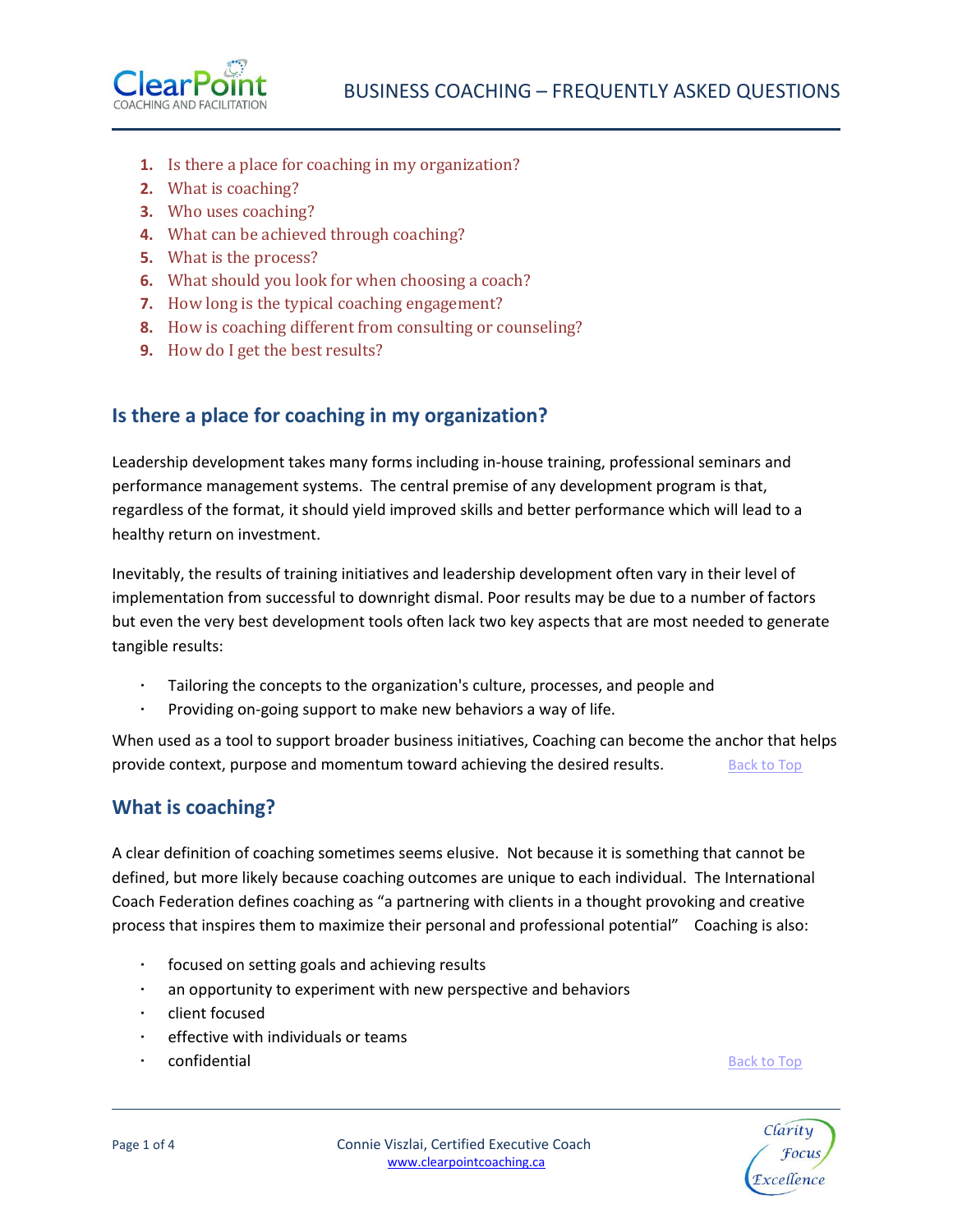

- <span id="page-0-2"></span>**1.** [Is there a place for coaching in my organization?](#page-0-0)
- **2.** [What is coaching?](#page-0-1)
- **3.** [Who uses coaching?](#page-1-0)
- **4.** What can [be achieved through coaching?](#page-1-1)
- **5.** What [is the process?](#page-1-2)
- **6.** [What should you look for when choosing a coach?](#page-2-0)
- **7.** [How long is the typical coaching engagement?](#page-2-1)
- **8.** [How is coaching different from consulting or counseling?](#page-2-2)
- **9.** [How do I get the best results?](#page-3-0)

### <span id="page-0-0"></span>**Is there a place for coaching in my organization?**

Leadership development takes many forms including in-house training, professional seminars and performance management systems. The central premise of any development program is that, regardless of the format, it should yield improved skills and better performance which will lead to a healthy return on investment.

Inevitably, the results of training initiatives and leadership development often vary in their level of implementation from successful to downright dismal. Poor results may be due to a number of factors but even the very best development tools often lack two key aspects that are most needed to generate tangible results:

- Tailoring the concepts to the organization's culture, processes, and people and
- Providing on-going support to make new behaviors a way of life.

When used as a tool to support broader business initiatives, Coaching can become the anchor that helps provide context, purpose and momentum toward achieving the desired results. [Back to Top](#page-0-2)

#### <span id="page-0-1"></span>**What is coaching?**

A clear definition of coaching sometimes seems elusive. Not because it is something that cannot be defined, but more likely because coaching outcomes are unique to each individual. The International Coach Federation defines coaching as "a partnering with clients in a thought provoking and creative process that inspires them to maximize their personal and professional potential" Coaching is also:

- focused on setting goals and achieving results
- an opportunity to experiment with new perspective and behaviors
- client focused
- effective with individuals or teams
- **confidential** [Back to Top](#page-0-2) Back to Top Back to Top Back to Top Back to Top Back to Top Back to Top Back to Top Back to Top Back to Top Back to Top Back to Top Back to Top Back to Top Back to Top Back to Top Back to Top Bac



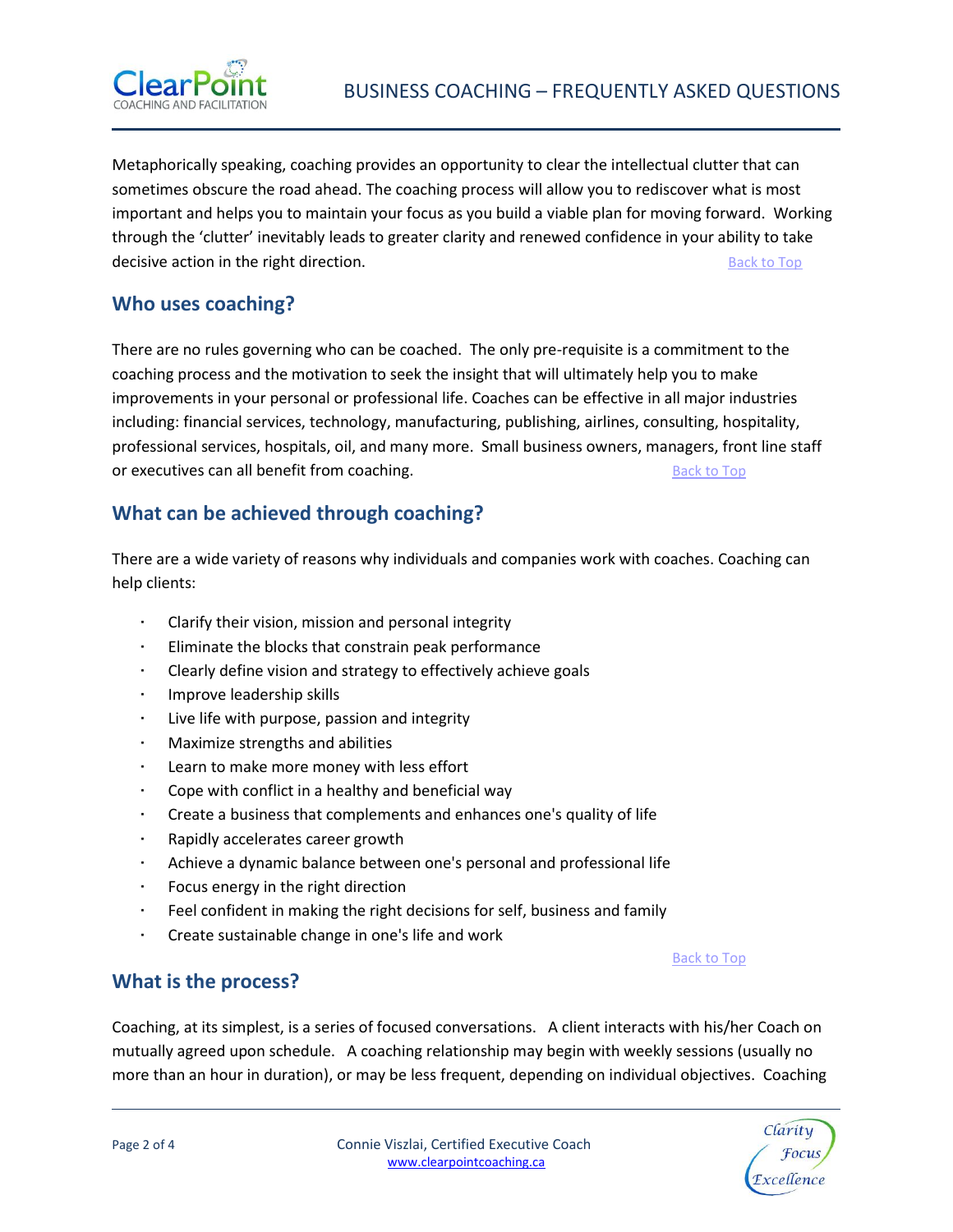

Metaphorically speaking, coaching provides an opportunity to clear the intellectual clutter that can sometimes obscure the road ahead. The coaching process will allow you to rediscover what is most important and helps you to maintain your focus as you build a viable plan for moving forward. Working through the 'clutter' inevitably leads to greater clarity and renewed confidence in your ability to take decisive action in the right direction. The state of the state of the [Back to Top](#page-0-2) Back to Top Back to Top and the state of the state of the state of the state of the state of the state of the state of the state of the stat

#### <span id="page-1-0"></span>**Who uses coaching?**

There are no rules governing who can be coached. The only pre-requisite is a commitment to the coaching process and the motivation to seek the insight that will ultimately help you to make improvements in your personal or professional life. Coaches can be effective in all major industries including: financial services, technology, manufacturing, publishing, airlines, consulting, hospitality, professional services, hospitals, oil, and many more. Small business owners, managers, front line staff or executives can all benefit from coaching. The state of the [Back to Top](#page-0-2) Back to Top

### <span id="page-1-1"></span>**What can be achieved through coaching?**

There are a wide variety of reasons why individuals and companies work with coaches. Coaching can help clients:

- Clarify their vision, mission and personal integrity
- Eliminate the blocks that constrain peak performance
- Clearly define vision and strategy to effectively achieve goals
- Improve leadership skills
- Live life with purpose, passion and integrity
- Maximize strengths and abilities
- Learn to make more money with less effort
- Cope with conflict in a healthy and beneficial way
- Create a business that complements and enhances one's quality of life
- Rapidly accelerates career growth
- Achieve a dynamic balance between one's personal and professional life
- Focus energy in the right direction
- Feel confident in making the right decisions for self, business and family
- Create sustainable change in one's life and work

#### [Back to Top](#page-0-2)

#### <span id="page-1-2"></span>**What is the process?**

Coaching, at its simplest, is a series of focused conversations. A client interacts with his/her Coach on mutually agreed upon schedule. A coaching relationship may begin with weekly sessions (usually no more than an hour in duration), or may be less frequent, depending on individual objectives. Coaching

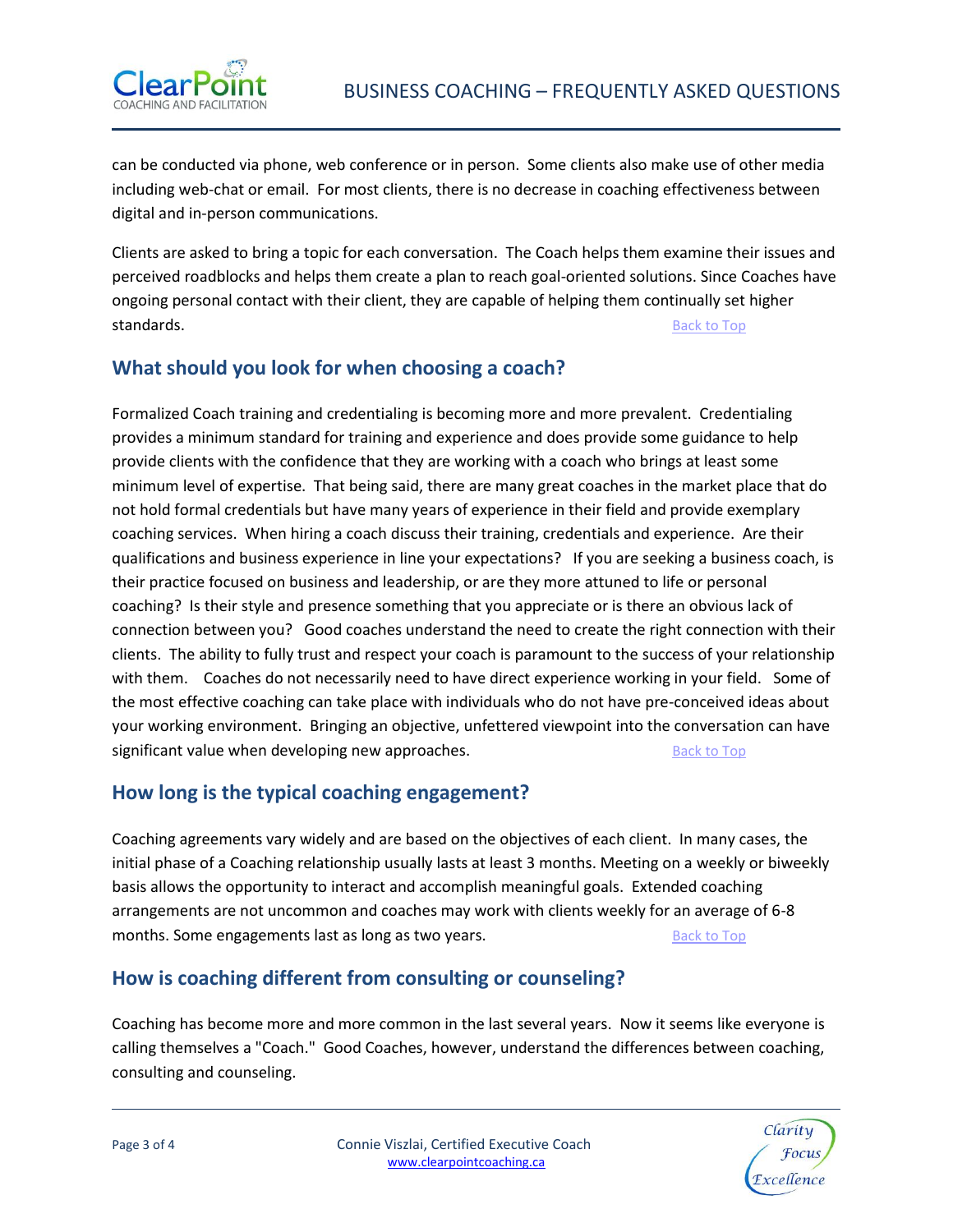

can be conducted via phone, web conference or in person. Some clients also make use of other media including web-chat or email. For most clients, there is no decrease in coaching effectiveness between digital and in-person communications.

Clients are asked to bring a topic for each conversation. The Coach helps them examine their issues and perceived roadblocks and helps them create a plan to reach goal-oriented solutions. Since Coaches have ongoing personal contact with their client, they are capable of helping them continually set higher standards. **[Back to Top](#page-0-2)** 

## <span id="page-2-0"></span>**What should you look for when choosing a coach?**

Formalized Coach training and credentialing is becoming more and more prevalent. Credentialing provides a minimum standard for training and experience and does provide some guidance to help provide clients with the confidence that they are working with a coach who brings at least some minimum level of expertise. That being said, there are many great coaches in the market place that do not hold formal credentials but have many years of experience in their field and provide exemplary coaching services. When hiring a coach discuss their training, credentials and experience. Are their qualifications and business experience in line your expectations? If you are seeking a business coach, is their practice focused on business and leadership, or are they more attuned to life or personal coaching? Is their style and presence something that you appreciate or is there an obvious lack of connection between you? Good coaches understand the need to create the right connection with their clients. The ability to fully trust and respect your coach is paramount to the success of your relationship with them. Coaches do not necessarily need to have direct experience working in your field. Some of the most effective coaching can take place with individuals who do not have pre-conceived ideas about your working environment. Bringing an objective, unfettered viewpoint into the conversation can have significant value when developing new approaches. The same state of the [Back to Top](#page-0-2)

# <span id="page-2-1"></span>**How long is the typical coaching engagement?**

Coaching agreements vary widely and are based on the objectives of each client. In many cases, the initial phase of a Coaching relationship usually lasts at least 3 months. Meeting on a weekly or biweekly basis allows the opportunity to interact and accomplish meaningful goals. Extended coaching arrangements are not uncommon and coaches may work with clients weekly for an average of 6-8 months. Some engagements last as long as two years. [Back to Top](#page-0-2) Back to Top

## <span id="page-2-2"></span>**How is coaching different from consulting or counseling?**

Coaching has become more and more common in the last several years. Now it seems like everyone is calling themselves a "Coach." Good Coaches, however, understand the differences between coaching, consulting and counseling.